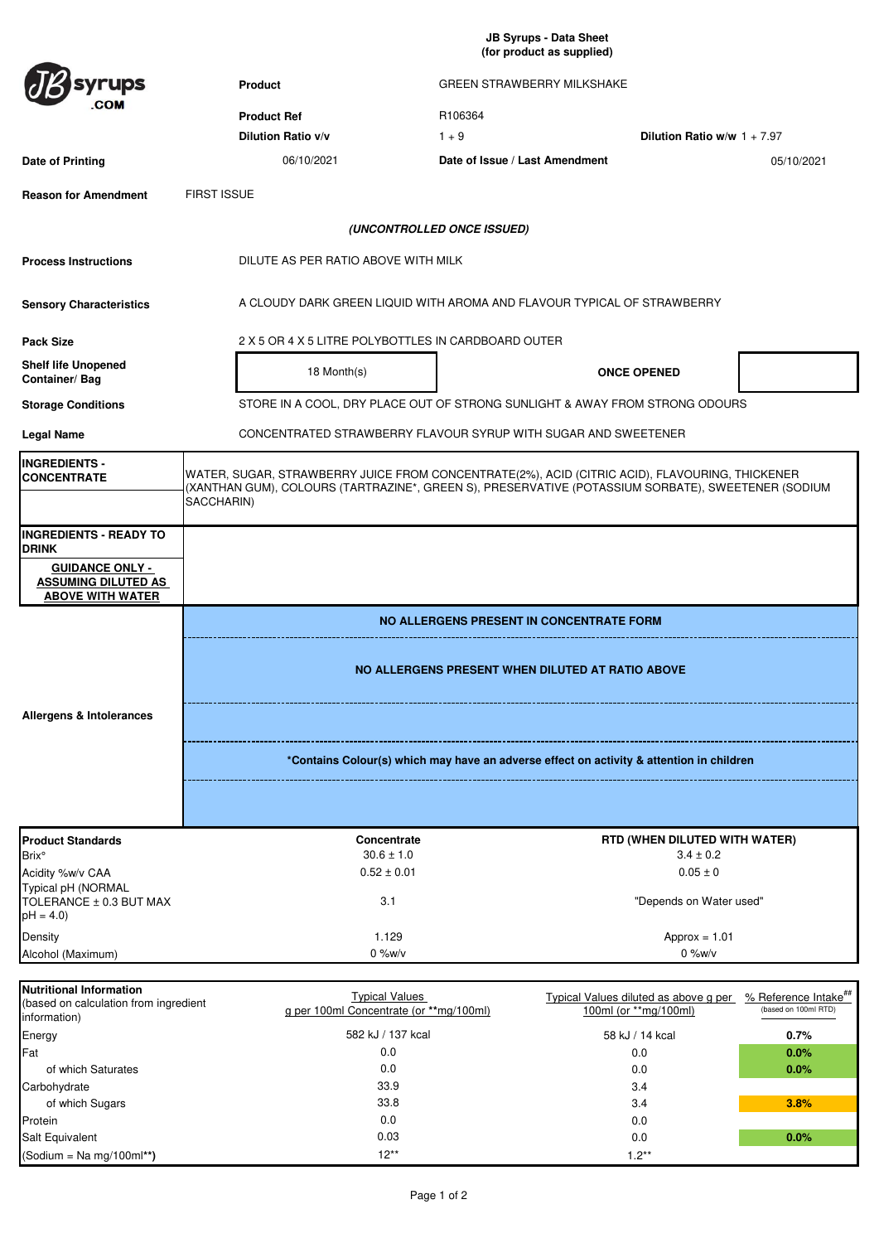**JB Syrups - Data Sheet (for product as supplied)** 

|                                                                                 | (ior product as supplied)                                                                                                                                                                                          |                                                                                          |                                |                                                                |                                               |  |
|---------------------------------------------------------------------------------|--------------------------------------------------------------------------------------------------------------------------------------------------------------------------------------------------------------------|------------------------------------------------------------------------------------------|--------------------------------|----------------------------------------------------------------|-----------------------------------------------|--|
| ups                                                                             | Product<br><b>GREEN STRAWBERRY MILKSHAKE</b>                                                                                                                                                                       |                                                                                          |                                |                                                                |                                               |  |
|                                                                                 |                                                                                                                                                                                                                    |                                                                                          |                                |                                                                |                                               |  |
|                                                                                 |                                                                                                                                                                                                                    | <b>Product Ref</b>                                                                       | R106364                        |                                                                |                                               |  |
|                                                                                 |                                                                                                                                                                                                                    | Dilution Ratio v/v                                                                       | $1 + 9$                        | Dilution Ratio w/w $1 + 7.97$                                  |                                               |  |
| Date of Printing                                                                |                                                                                                                                                                                                                    | 06/10/2021                                                                               | Date of Issue / Last Amendment |                                                                | 05/10/2021                                    |  |
| <b>Reason for Amendment</b>                                                     | <b>FIRST ISSUE</b>                                                                                                                                                                                                 |                                                                                          |                                |                                                                |                                               |  |
|                                                                                 |                                                                                                                                                                                                                    |                                                                                          | (UNCONTROLLED ONCE ISSUED)     |                                                                |                                               |  |
| <b>Process Instructions</b>                                                     | DILUTE AS PER RATIO ABOVE WITH MILK                                                                                                                                                                                |                                                                                          |                                |                                                                |                                               |  |
| <b>Sensory Characteristics</b>                                                  | A CLOUDY DARK GREEN LIQUID WITH AROMA AND FLAVOUR TYPICAL OF STRAWBERRY                                                                                                                                            |                                                                                          |                                |                                                                |                                               |  |
| <b>Pack Size</b>                                                                |                                                                                                                                                                                                                    | 2 X 5 OR 4 X 5 LITRE POLYBOTTLES IN CARDBOARD OUTER                                      |                                |                                                                |                                               |  |
| <b>Shelf life Unopened</b><br>Container/Bag                                     |                                                                                                                                                                                                                    | 18 Month(s)                                                                              |                                | <b>ONCE OPENED</b>                                             |                                               |  |
| <b>Storage Conditions</b>                                                       | STORE IN A COOL, DRY PLACE OUT OF STRONG SUNLIGHT & AWAY FROM STRONG ODOURS                                                                                                                                        |                                                                                          |                                |                                                                |                                               |  |
| <b>Legal Name</b>                                                               | CONCENTRATED STRAWBERRY FLAVOUR SYRUP WITH SUGAR AND SWEETENER                                                                                                                                                     |                                                                                          |                                |                                                                |                                               |  |
| <b>INGREDIENTS -</b><br><b>CONCENTRATE</b>                                      | WATER, SUGAR, STRAWBERRY JUICE FROM CONCENTRATE(2%), ACID (CITRIC ACID), FLAVOURING, THICKENER<br>(XANTHAN GUM), COLOURS (TARTRAZINE*, GREEN S), PRESERVATIVE (POTASSIUM SORBATE), SWEETENER (SODIUM<br>SACCHARIN) |                                                                                          |                                |                                                                |                                               |  |
| <b>INGREDIENTS - READY TO</b><br><b>DRINK</b>                                   |                                                                                                                                                                                                                    |                                                                                          |                                |                                                                |                                               |  |
| <b>GUIDANCE ONLY -</b><br><b>ASSUMING DILUTED AS</b><br><b>ABOVE WITH WATER</b> |                                                                                                                                                                                                                    |                                                                                          |                                |                                                                |                                               |  |
|                                                                                 | NO ALLERGENS PRESENT IN CONCENTRATE FORM<br>NO ALLERGENS PRESENT WHEN DILUTED AT RATIO ABOVE                                                                                                                       |                                                                                          |                                |                                                                |                                               |  |
|                                                                                 |                                                                                                                                                                                                                    |                                                                                          |                                |                                                                |                                               |  |
| <b>Allergens &amp; Intolerances</b>                                             |                                                                                                                                                                                                                    |                                                                                          |                                |                                                                |                                               |  |
|                                                                                 |                                                                                                                                                                                                                    | *Contains Colour(s) which may have an adverse effect on activity & attention in children |                                |                                                                |                                               |  |
|                                                                                 |                                                                                                                                                                                                                    |                                                                                          |                                |                                                                |                                               |  |
| <b>Product Standards</b><br><b>Brix</b> °                                       |                                                                                                                                                                                                                    | Concentrate<br>$30.6 \pm 1.0$                                                            |                                | RTD (WHEN DILUTED WITH WATER)<br>$3.4 \pm 0.2$                 |                                               |  |
| Acidity %w/v CAA                                                                |                                                                                                                                                                                                                    | $0.52 \pm 0.01$                                                                          |                                | $0.05 \pm 0$                                                   |                                               |  |
| Typical pH (NORMAL<br>TOLERANCE ± 0.3 BUT MAX<br>$pH = 4.0$                     |                                                                                                                                                                                                                    | 3.1                                                                                      |                                | "Depends on Water used"                                        |                                               |  |
|                                                                                 |                                                                                                                                                                                                                    | 1.129                                                                                    |                                |                                                                |                                               |  |
| Density<br>Alcohol (Maximum)                                                    |                                                                                                                                                                                                                    | $0\%$ w/v                                                                                |                                | $Approx = 1.01$<br>$0\%$ w/v                                   |                                               |  |
| <b>Nutritional Information</b>                                                  |                                                                                                                                                                                                                    |                                                                                          |                                |                                                                |                                               |  |
| (based on calculation from ingredient<br>information)                           |                                                                                                                                                                                                                    | <b>Typical Values</b><br>g per 100ml Concentrate (or **mg/100ml)                         |                                | Typical Values diluted as above g per<br>100ml (or **mg/100ml) | % Reference Intake"**<br>(based on 100ml RTD) |  |
| Energy                                                                          |                                                                                                                                                                                                                    | 582 kJ / 137 kcal                                                                        |                                | 58 kJ / 14 kcal                                                | 0.7%                                          |  |
| Fat                                                                             |                                                                                                                                                                                                                    | 0.0                                                                                      |                                | 0.0                                                            | 0.0%                                          |  |
| of which Saturates                                                              |                                                                                                                                                                                                                    | 0.0                                                                                      |                                | 0.0                                                            | 0.0%                                          |  |
| Carbohydrate                                                                    |                                                                                                                                                                                                                    | 33.9                                                                                     |                                | 3.4                                                            |                                               |  |

of which Sugars **3.8 3.8 3.4 3.8 3.4 3.8 3.4 3.8 3.4** 

Salt Equivalent 0.0 **0.0%**

0.0 0.03 12\*\*

33.8

Protein and the contract of the contract of the contract of the contract of the contract of the contract of the contract of the contract of the contract of the contract of the contract of the contract of the contract of th

(Sodium = Na mg/100ml**\*\*)** 1.2\*\*